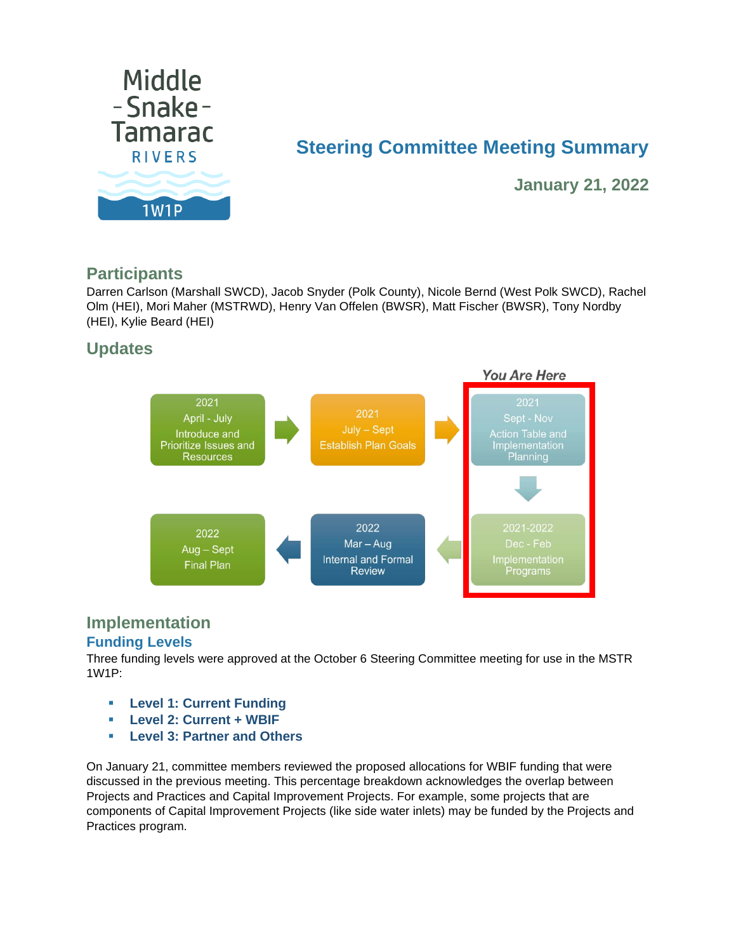

# **Steering Committee Meeting Summary**

**January 21, 2022**

### **Participants**

Darren Carlson (Marshall SWCD), Jacob Snyder (Polk County), Nicole Bernd (West Polk SWCD), Rachel Olm (HEI), Mori Maher (MSTRWD), Henry Van Offelen (BWSR), Matt Fischer (BWSR), Tony Nordby (HEI), Kylie Beard (HEI)

## **Updates**



# **Implementation**

#### **Funding Levels**

Three funding levels were approved at the October 6 Steering Committee meeting for use in the MSTR 1W1P:

- **Level 1: Current Funding**
- **Level 2: Current + WBIF**
- **Level 3: Partner and Others**

On January 21, committee members reviewed the proposed allocations for WBIF funding that were discussed in the previous meeting. This percentage breakdown acknowledges the overlap between Projects and Practices and Capital Improvement Projects. For example, some projects that are components of Capital Improvement Projects (like side water inlets) may be funded by the Projects and Practices program.